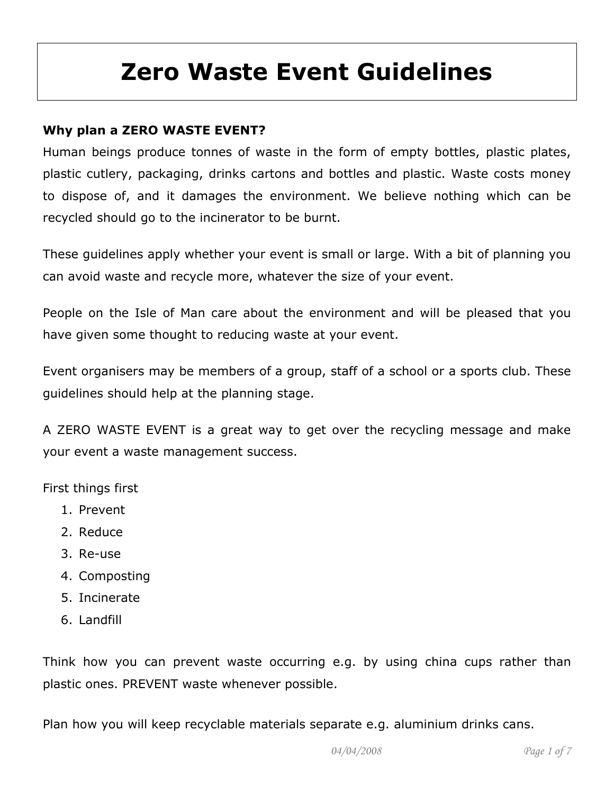# Zero Waste Event Guidelines

# Why plan a ZERO WASTE EVENT?

Human beings produce tonnes of waste in the form of empty bottles, plastic plates, plastic cutlery, packaging, drinks cartons and bottles and plastic. Waste costs money to dispose of, and it damages the environment. We believe nothing which can be recycled should go to the incinerator to be burnt.

These guidelines apply whether your event is small or large. With a bit of planning you can avoid waste and recycle more, whatever the size of your event.

People on the Isle of Man care about the environment and will be pleased that you have given some thought to reducing waste at your event.

Event organisers may be members of a group, staff of a school or a sports club. These guidelines should help at the planning stage.

A ZERO WASTE EVENT is a great way to get over the recycling message and make your event a waste management success.

First things first

- 1. Prevent
- 2. Reduce
- 3. Re-use
- 4. Composting
- 5. Incinerate
- 6. Landfill

Think how you can prevent waste occurring e.g. by using china cups rather than plastic ones. PREVENT waste whenever possible.

Plan how you will keep recyclable materials separate e.g. aluminium drinks cans.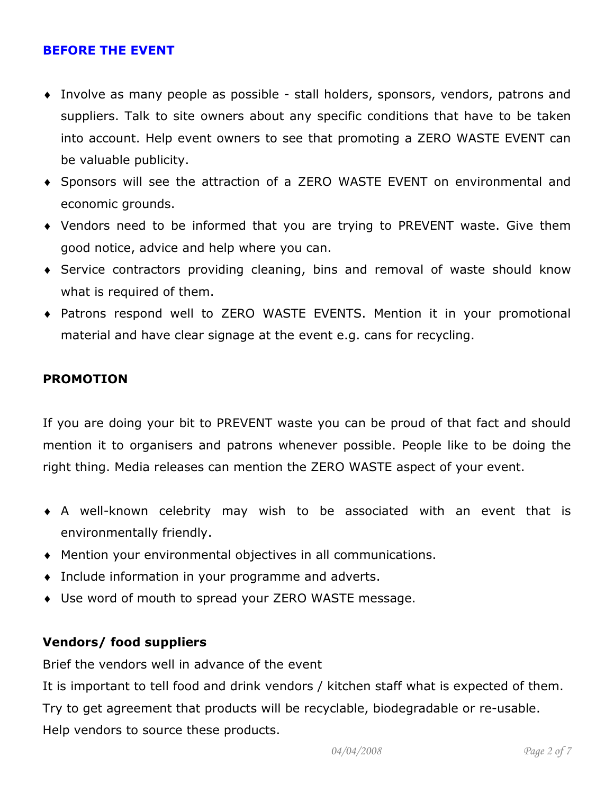#### BEFORE THE EVENT

- ♦ Involve as many people as possible stall holders, sponsors, vendors, patrons and suppliers. Talk to site owners about any specific conditions that have to be taken into account. Help event owners to see that promoting a ZERO WASTE EVENT can be valuable publicity.
- ♦ Sponsors will see the attraction of a ZERO WASTE EVENT on environmental and economic grounds.
- ♦ Vendors need to be informed that you are trying to PREVENT waste. Give them good notice, advice and help where you can.
- ♦ Service contractors providing cleaning, bins and removal of waste should know what is required of them.
- ♦ Patrons respond well to ZERO WASTE EVENTS. Mention it in your promotional material and have clear signage at the event e.g. cans for recycling.

#### PROMOTION

If you are doing your bit to PREVENT waste you can be proud of that fact and should mention it to organisers and patrons whenever possible. People like to be doing the right thing. Media releases can mention the ZERO WASTE aspect of your event.

- ♦ A well-known celebrity may wish to be associated with an event that is environmentally friendly.
- ♦ Mention your environmental objectives in all communications.
- ♦ Include information in your programme and adverts.
- ♦ Use word of mouth to spread your ZERO WASTE message.

#### Vendors/ food suppliers

Brief the vendors well in advance of the event

It is important to tell food and drink vendors / kitchen staff what is expected of them. Try to get agreement that products will be recyclable, biodegradable or re-usable. Help vendors to source these products.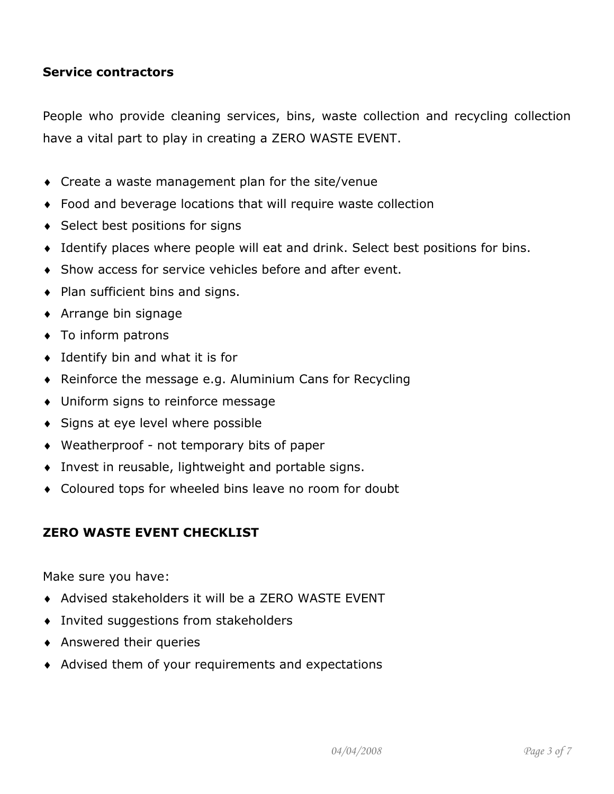#### Service contractors

People who provide cleaning services, bins, waste collection and recycling collection have a vital part to play in creating a ZERO WASTE EVENT.

- ♦ Create a waste management plan for the site/venue
- ♦ Food and beverage locations that will require waste collection
- ♦ Select best positions for signs
- ♦ Identify places where people will eat and drink. Select best positions for bins.
- ♦ Show access for service vehicles before and after event.
- ♦ Plan sufficient bins and signs.
- ♦ Arrange bin signage
- ♦ To inform patrons
- $\bullet$  Identify bin and what it is for
- ♦ Reinforce the message e.g. Aluminium Cans for Recycling
- ♦ Uniform signs to reinforce message
- ♦ Signs at eye level where possible
- ♦ Weatherproof not temporary bits of paper
- ♦ Invest in reusable, lightweight and portable signs.
- ♦ Coloured tops for wheeled bins leave no room for doubt

## ZERO WASTE EVENT CHECKLIST

Make sure you have:

- ♦ Advised stakeholders it will be a ZERO WASTE EVENT
- ♦ Invited suggestions from stakeholders
- ♦ Answered their queries
- ♦ Advised them of your requirements and expectations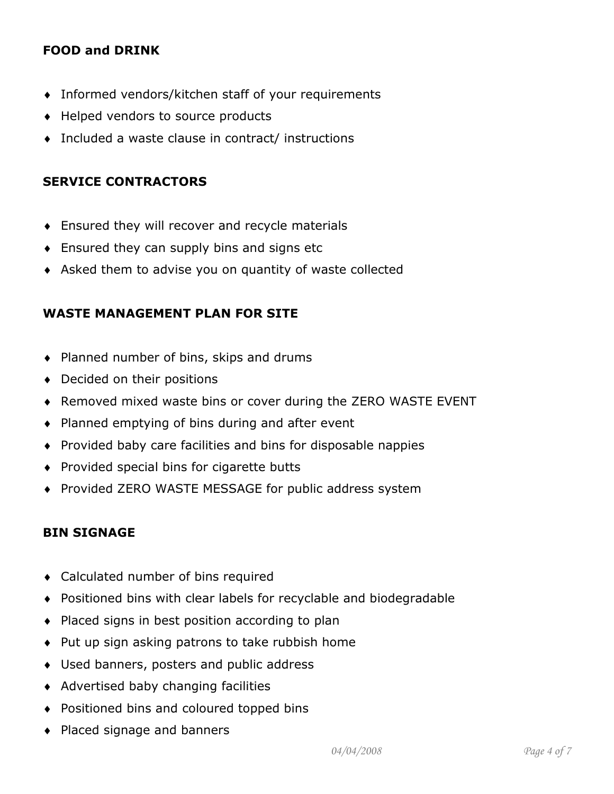## FOOD and DRINK

- ♦ Informed vendors/kitchen staff of your requirements
- ♦ Helped vendors to source products
- ♦ Included a waste clause in contract/ instructions

## SERVICE CONTRACTORS

- ♦ Ensured they will recover and recycle materials
- ♦ Ensured they can supply bins and signs etc
- ♦ Asked them to advise you on quantity of waste collected

#### WASTE MANAGEMENT PLAN FOR SITE

- ♦ Planned number of bins, skips and drums
- ♦ Decided on their positions
- ♦ Removed mixed waste bins or cover during the ZERO WASTE EVENT
- ♦ Planned emptying of bins during and after event
- ♦ Provided baby care facilities and bins for disposable nappies
- ♦ Provided special bins for cigarette butts
- ♦ Provided ZERO WASTE MESSAGE for public address system

## BIN SIGNAGE

- ♦ Calculated number of bins required
- ♦ Positioned bins with clear labels for recyclable and biodegradable
- ♦ Placed signs in best position according to plan
- ♦ Put up sign asking patrons to take rubbish home
- ♦ Used banners, posters and public address
- ♦ Advertised baby changing facilities
- ♦ Positioned bins and coloured topped bins
- ♦ Placed signage and banners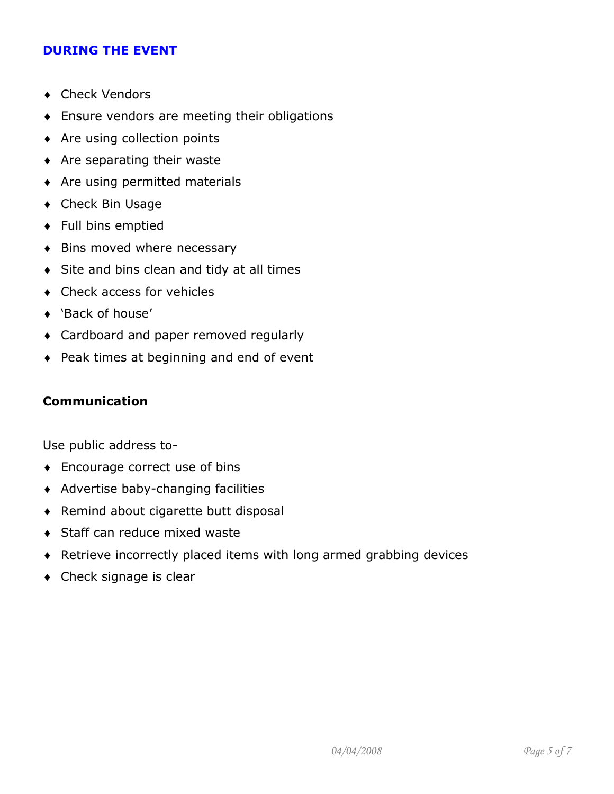#### DURING THE EVENT

- ♦ Check Vendors
- ♦ Ensure vendors are meeting their obligations
- ♦ Are using collection points
- ♦ Are separating their waste
- ♦ Are using permitted materials
- ♦ Check Bin Usage
- ♦ Full bins emptied
- ♦ Bins moved where necessary
- ♦ Site and bins clean and tidy at all times
- ♦ Check access for vehicles
- ♦ 'Back of house'
- ♦ Cardboard and paper removed regularly
- ♦ Peak times at beginning and end of event

#### Communication

Use public address to-

- ♦ Encourage correct use of bins
- ♦ Advertise baby-changing facilities
- ♦ Remind about cigarette butt disposal
- ♦ Staff can reduce mixed waste
- ♦ Retrieve incorrectly placed items with long armed grabbing devices
- ♦ Check signage is clear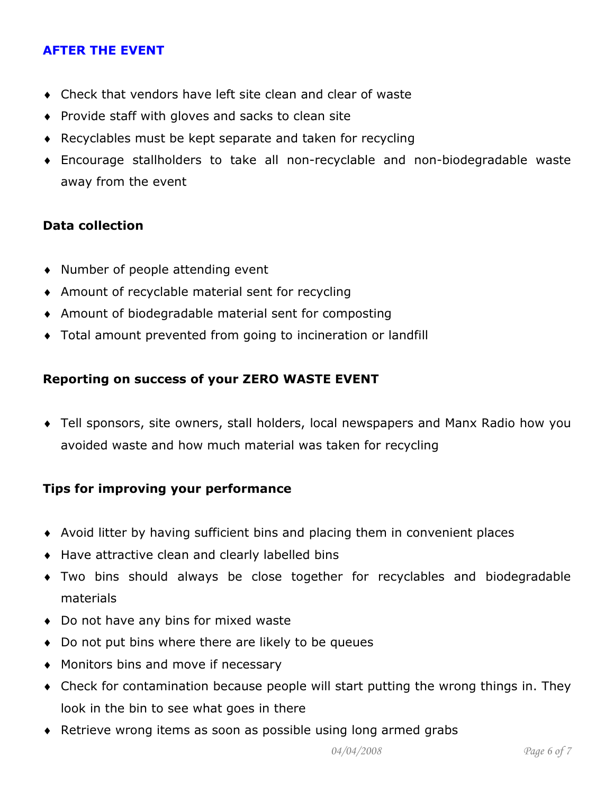## AFTER THE EVENT

- ♦ Check that vendors have left site clean and clear of waste
- ♦ Provide staff with gloves and sacks to clean site
- ♦ Recyclables must be kept separate and taken for recycling
- ♦ Encourage stallholders to take all non-recyclable and non-biodegradable waste away from the event

## Data collection

- ♦ Number of people attending event
- ♦ Amount of recyclable material sent for recycling
- ♦ Amount of biodegradable material sent for composting
- ♦ Total amount prevented from going to incineration or landfill

## Reporting on success of your ZERO WASTE EVENT

♦ Tell sponsors, site owners, stall holders, local newspapers and Manx Radio how you avoided waste and how much material was taken for recycling

## Tips for improving your performance

- ♦ Avoid litter by having sufficient bins and placing them in convenient places
- ♦ Have attractive clean and clearly labelled bins
- ♦ Two bins should always be close together for recyclables and biodegradable materials
- ♦ Do not have any bins for mixed waste
- ♦ Do not put bins where there are likely to be queues
- ♦ Monitors bins and move if necessary
- ♦ Check for contamination because people will start putting the wrong things in. They look in the bin to see what goes in there
- ♦ Retrieve wrong items as soon as possible using long armed grabs